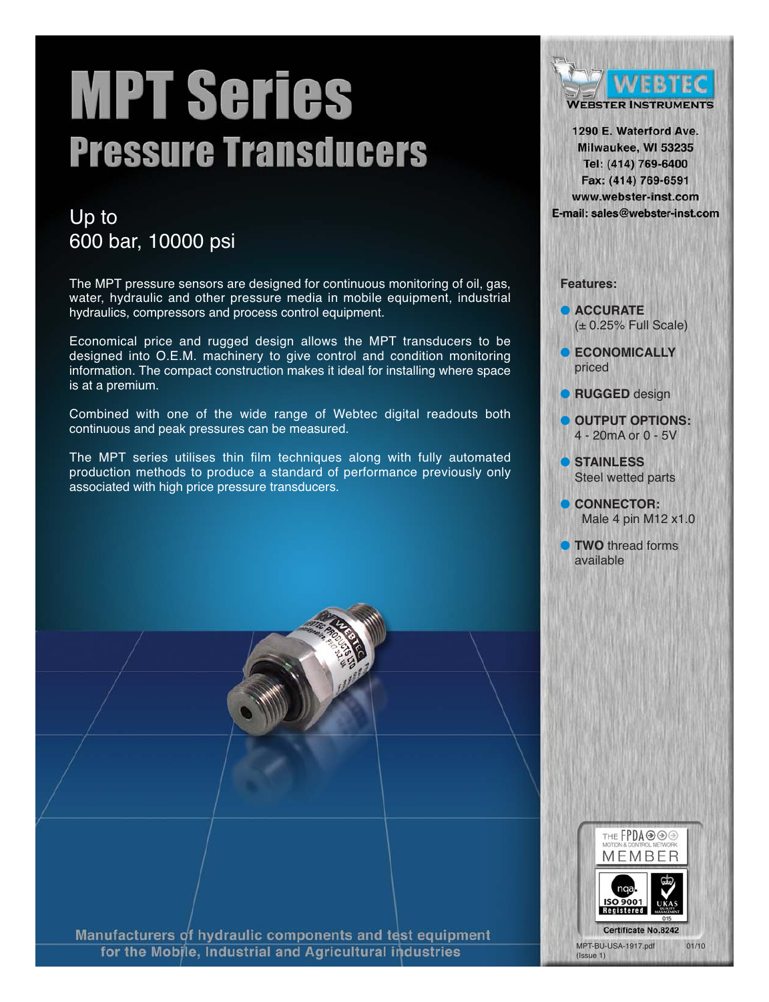# **MPT Series Pressure Transducers**

## Up to 600 bar, 10000 psi

The MPT pressure sensors are designed for continuous monitoring of oil, gas, water, hydraulic and other pressure media in mobile equipment, industrial hydraulics, compressors and process control equipment.

Economical price and rugged design allows the MPT transducers to be designed into O.E.M. machinery to give control and condition monitoring information. The compact construction makes it ideal for installing where space is at a premium.

Combined with one of the wide range of Webtec digital readouts both continuous and peak pressures can be measured.

The MPT series utilises thin film techniques along with fully automated production methods to produce a standard of performance previously only associated with high price pressure transducers.



1290 E. Waterford Ave. Milwaukee, WI 53235 Tel: (414) 769-6400 Fax: (414) 769-6591 www.webster-inst.com E-mail: sales@webster-inst.com

#### **Features:**

● **ACCURATE**  $(± 0.25%$  Full Scale)

- **ECONOMICALLY** priced
- **RUGGED** design
- **OUTPUT OPTIONS:**  4 - 20mA or 0 - 5V
- **STAINLESS** Steel wetted parts
- **CONNECTOR:** Male 4 pin M12 x1.0
- **TWO** thread forms available



Manufacturers of hydraulic components and test equipment for the Mobile, Industrial and Agricultural industries